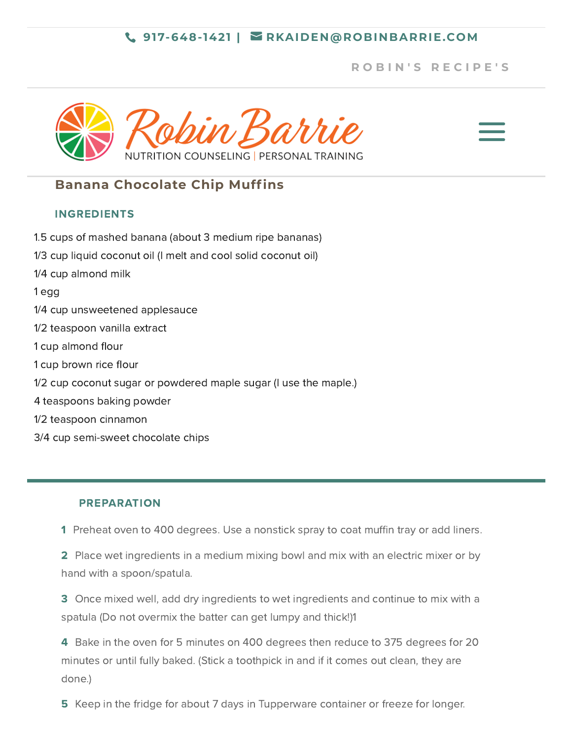## **917-648-1421 | [RKAIDEN@ROBINBARRIE.COM](mailto:rkaiden@robinbarrie.com)**

# **R [O](https://robinbarrie.com/recipes/) B I N ' S R E C I P E ' S**

a



# **Banana Chocolate Chip Muffins**

## INGREDIENTS

- 1.5 cups of mashed banana (about 3 medium ripe bananas)
- 1/3 cup liquid coconut oil (I melt and cool solid coconut oil)
- 1/4 cup almond milk

1 egg

- 1/4 cup unsweetened applesauce
- 1/2 teaspoon vanilla extract
- 1 cup almond flour
- 1 cup brown rice flour
- 1/2 cup coconut sugar or powdered maple sugar (I use the maple.)
- 4 teaspoons baking powder
- 1/2 teaspoon cinnamon
- 3/4 cup semi-sweet chocolate chips

### PREPARATION

1 Preheat oven to 400 degrees. Use a nonstick spray to coat muffin tray or add liners.

2 Place wet ingredients in a medium mixing bowl and mix with an electric mixer or by hand with a spoon/spatula.

3 Once mixed well, add dry ingredients to wet ingredients and continue to mix with a spatula (Do not overmix the batter can get lumpy and thick!)1

4 Bake in the oven for 5 minutes on 400 degrees then reduce to 375 degrees for 20 minutes or until fully baked. (Stick a toothpick in and if it comes out clean, they are done.)

5 Keep in the fridge for about 7 days in Tupperware container or freeze for longer.